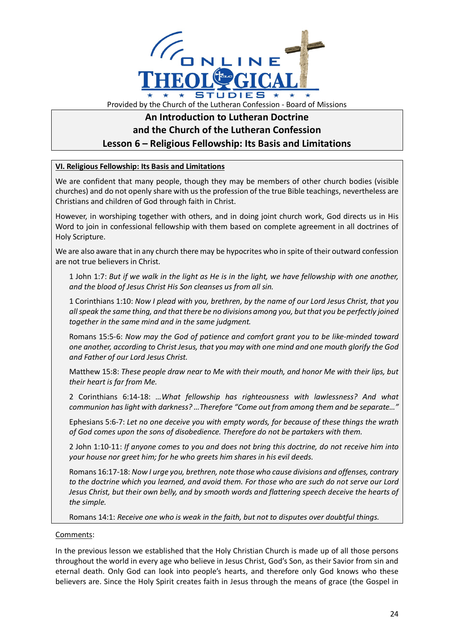

# **An Introduction to Lutheran Doctrine and the Church of the Lutheran Confession Lesson 6 – Religious Fellowship: Its Basis and Limitations**

## **VI. Religious Fellowship: Its Basis and Limitations**

We are confident that many people, though they may be members of other church bodies (visible churches) and do not openly share with us the profession of the true Bible teachings, nevertheless are Christians and children of God through faith in Christ.

However, in worshiping together with others, and in doing joint church work, God directs us in His Word to join in confessional fellowship with them based on complete agreement in all doctrines of Holy Scripture.

We are also aware that in any church there may be hypocrites who in spite of their outward confession are not true believers in Christ.

1 John 1:7: *But if we walk in the light as He is in the light, we have fellowship with one another, and the blood of Jesus Christ His Son cleanses us from all sin.*

1 Corinthians 1:10: *Now I plead with you, brethren, by the name of our Lord Jesus Christ, that you all speak the same thing, and that there be no divisions among you, but that you be perfectly joined together in the same mind and in the same judgment.*

Romans 15:5-6: *Now may the God of patience and comfort grant you to be like-minded toward one another, according to Christ Jesus, that you may with one mind and one mouth glorify the God and Father of our Lord Jesus Christ.*

Matthew 15:8: *These people draw near to Me with their mouth, and honor Me with their lips, but their heart is far from Me.*

2 Corinthians 6:14-18: *…What fellowship has righteousness with lawlessness? And what communion has light with darkness? …Therefore "Come out from among them and be separate…"*

Ephesians 5:6-7: *Let no one deceive you with empty words, for because of these things the wrath of God comes upon the sons of disobedience. Therefore do not be partakers with them.*

2 John 1:10-11: *If anyone comes to you and does not bring this doctrine, do not receive him into your house nor greet him; for he who greets him shares in his evil deeds.*

Romans 16:17-18: *Now I urge you, brethren, note those who cause divisions and offenses, contrary to the doctrine which you learned, and avoid them. For those who are such do not serve our Lord Jesus Christ, but their own belly, and by smooth words and flattering speech deceive the hearts of the simple.*

Romans 14:1: *Receive one who is weak in the faith, but not to disputes over doubtful things.*

### Comments:

In the previous lesson we established that the Holy Christian Church is made up of all those persons throughout the world in every age who believe in Jesus Christ, God's Son, as their Savior from sin and eternal death. Only God can look into people's hearts, and therefore only God knows who these believers are. Since the Holy Spirit creates faith in Jesus through the means of grace (the Gospel in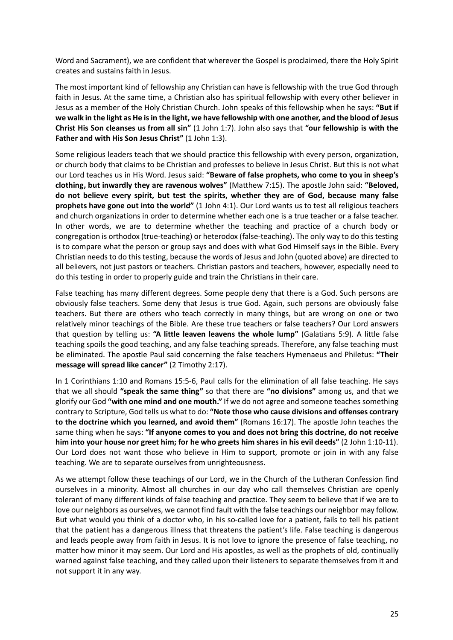Word and Sacrament), we are confident that wherever the Gospel is proclaimed, there the Holy Spirit creates and sustains faith in Jesus.

The most important kind of fellowship any Christian can have is fellowship with the true God through faith in Jesus. At the same time, a Christian also has spiritual fellowship with every other believer in Jesus as a member of the Holy Christian Church. John speaks of this fellowship when he says: **"But if we walk in the light as He is in the light, we have fellowship with one another, and the blood of Jesus Christ His Son cleanses us from all sin"** (1 John 1:7). John also says that **"our fellowship is with the**  Father and with His Son Jesus Christ" (1 John 1:3).

Some religious leaders teach that we should practice this fellowship with every person, organization, or church body that claims to be Christian and professes to believe in Jesus Christ. But this is not what our Lord teaches us in His Word. Jesus said: **"Beware of false prophets, who come to you in sheep's clothing, but inwardly they are ravenous wolves"** (Matthew 7:15). The apostle John said: **"Beloved, do not believe every spirit, but test the spirits, whether they are of God, because many false prophets have gone out into the world"** (1 John 4:1). Our Lord wants us to test all religious teachers and church organizations in order to determine whether each one is a true teacher or a false teacher. In other words, we are to determine whether the teaching and practice of a church body or congregation is orthodox (true-teaching) or heterodox (false-teaching). The only way to do this testing is to compare what the person or group says and does with what God Himself says in the Bible. Every Christian needs to do this testing, because the words of Jesus and John (quoted above) are directed to all believers, not just pastors or teachers. Christian pastors and teachers, however, especially need to do this testing in order to properly guide and train the Christians in their care.

False teaching has many different degrees. Some people deny that there is a God. Such persons are obviously false teachers. Some deny that Jesus is true God. Again, such persons are obviously false teachers. But there are others who teach correctly in many things, but are wrong on one or two relatively minor teachings of the Bible. Are these true teachers or false teachers? Our Lord answers that question by telling us: **"A little leaven leavens the whole lump"** (Galatians 5:9). A little false teaching spoils the good teaching, and any false teaching spreads. Therefore, any false teaching must be eliminated. The apostle Paul said concerning the false teachers Hymenaeus and Philetus: **"Their message will spread like cancer"** (2 Timothy 2:17).

In 1 Corinthians 1:10 and Romans 15:5-6, Paul calls for the elimination of all false teaching. He says that we all should **"speak the same thing"** so that there are **"no divisions"** among us, and that we glorify our God **"with one mind and one mouth."** If we do not agree and someone teaches something contrary to Scripture, God tells us what to do: **"Note those who cause divisions and offenses contrary to the doctrine which you learned, and avoid them"** (Romans 16:17). The apostle John teaches the same thing when he says: **"If anyone comes to you and does not bring this doctrine, do not receive him into your house nor greet him; for he who greets him shares in his evil deeds"** (2 John 1:10-11). Our Lord does not want those who believe in Him to support, promote or join in with any false teaching. We are to separate ourselves from unrighteousness.

As we attempt follow these teachings of our Lord, we in the Church of the Lutheran Confession find ourselves in a minority. Almost all churches in our day who call themselves Christian are openly tolerant of many different kinds of false teaching and practice. They seem to believe that if we are to love our neighbors as ourselves, we cannot find fault with the false teachings our neighbor may follow. But what would you think of a doctor who, in his so-called love for a patient, fails to tell his patient that the patient has a dangerous illness that threatens the patient's life. False teaching is dangerous and leads people away from faith in Jesus. It is not love to ignore the presence of false teaching, no matter how minor it may seem. Our Lord and His apostles, as well as the prophets of old, continually warned against false teaching, and they called upon their listeners to separate themselves from it and not support it in any way.